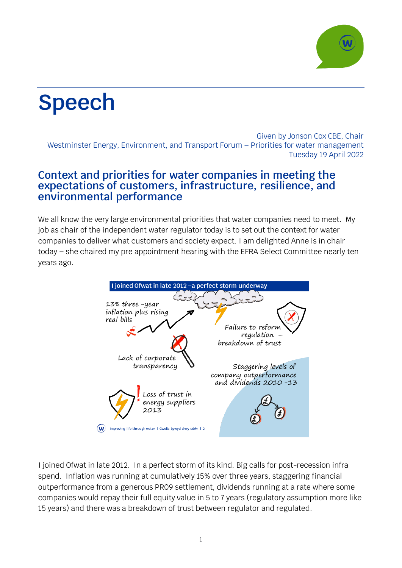

## **Speech**

Given by Jonson Cox CBE, Chair Westminster Energy, Environment, and Transport Forum – Priorities for water management Tuesday 19 April 2022

## **Context and priorities for water companies in meeting the expectations of customers, infrastructure, resilience, and environmental performance**

We all know the very large environmental priorities that water companies need to meet. My job as chair of the independent water regulator today is to set out the context for water companies to deliver what customers and society expect. I am delighted Anne is in chair today – she chaired my pre appointment hearing with the EFRA Select Committee nearly ten years ago.



I joined Ofwat in late 2012. In a perfect storm of its kind. Big calls for post-recession infra spend. Inflation was running at cumulatively 15% over three years, staggering financial outperformance from a generous PR09 settlement, dividends running at a rate where some companies would repay their full equity value in 5 to 7 years (regulatory assumption more like 15 years) and there was a breakdown of trust between regulator and regulated.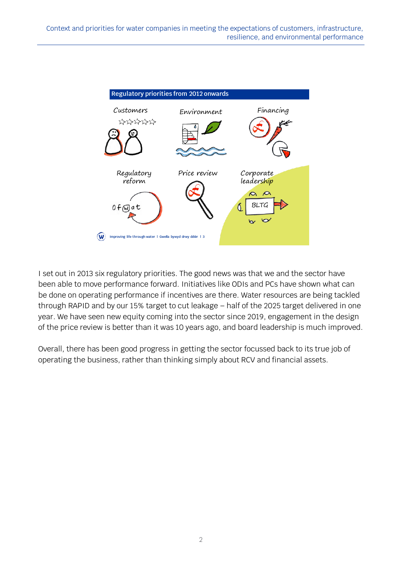

I set out in 2013 six regulatory priorities. The good news was that we and the sector have been able to move performance forward. Initiatives like ODIs and PCs have shown what can be done on operating performance if incentives are there. Water resources are being tackled through RAPID and by our 15% target to cut leakage – half of the 2025 target delivered in one year. We have seen new equity coming into the sector since 2019, engagement in the design of the price review is better than it was 10 years ago, and board leadership is much improved.

Overall, there has been good progress in getting the sector focussed back to its true job of operating the business, rather than thinking simply about RCV and financial assets.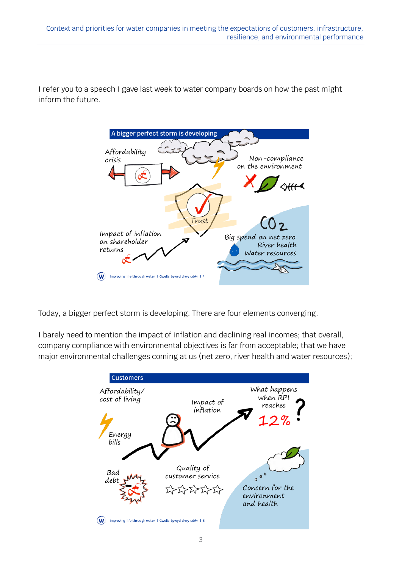I refer you to a speech I gave last week to water company boards on how the past might inform the future.



Today, a bigger perfect storm is developing. There are four elements converging.

I barely need to mention the impact of inflation and declining real incomes; that overall, company compliance with environmental objectives is far from acceptable; that we have major environmental challenges coming at us (net zero, river health and water resources);

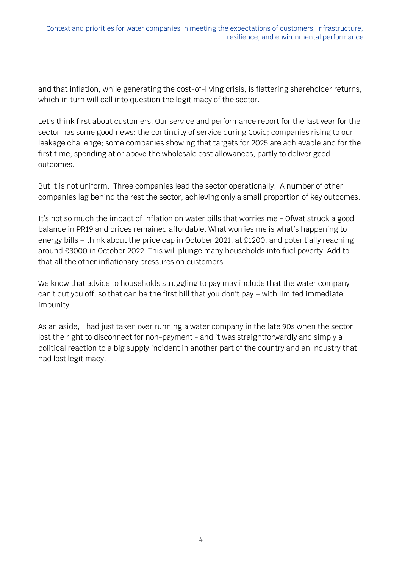and that inflation, while generating the cost-of-living crisis, is flattering shareholder returns, which in turn will call into question the legitimacy of the sector.

Let's think first about customers. Our service and performance report for the last year for the sector has some good news: the continuity of service during Covid; companies rising to our leakage challenge; some companies showing that targets for 2025 are achievable and for the first time, spending at or above the wholesale cost allowances, partly to deliver good outcomes.

But it is not uniform. Three companies lead the sector operationally. A number of other companies lag behind the rest the sector, achieving only a small proportion of key outcomes.

It's not so much the impact of inflation on water bills that worries me - Ofwat struck a good balance in PR19 and prices remained affordable. What worries me is what's happening to energy bills – think about the price cap in October 2021, at £1200, and potentially reaching around £3000 in October 2022. This will plunge many households into fuel poverty. Add to that all the other inflationary pressures on customers.

We know that advice to households struggling to pay may include that the water company can't cut you off, so that can be the first bill that you don't pay – with limited immediate impunity.

As an aside, I had just taken over running a water company in the late 90s when the sector lost the right to disconnect for non-payment - and it was straightforwardly and simply a political reaction to a big supply incident in another part of the country and an industry that had lost legitimacy.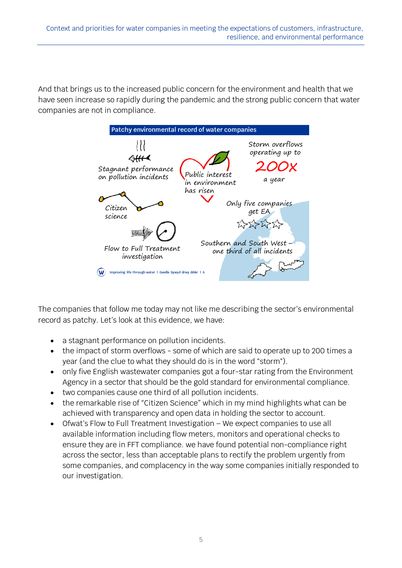And that brings us to the increased public concern for the environment and health that we have seen increase so rapidly during the pandemic and the strong public concern that water companies are not in compliance.



The companies that follow me today may not like me describing the sector's environmental record as patchy. Let's look at this evidence, we have:

- a stagnant performance on pollution incidents.
- the impact of storm overflows some of which are said to operate up to 200 times a year (and the clue to what they should do is in the word "storm").
- only five English wastewater companies got a four-star rating from the Environment Agency in a sector that should be the gold standard for environmental compliance.
- two companies cause one third of all pollution incidents.
- the remarkable rise of "Citizen Science" which in my mind highlights what can be achieved with transparency and open data in holding the sector to account.
- Ofwat's Flow to Full Treatment Investigation We expect companies to use all available information including flow meters, monitors and operational checks to ensure they are in FFT compliance. we have found potential non-compliance right across the sector, less than acceptable plans to rectify the problem urgently from some companies, and complacency in the way some companies initially responded to our investigation.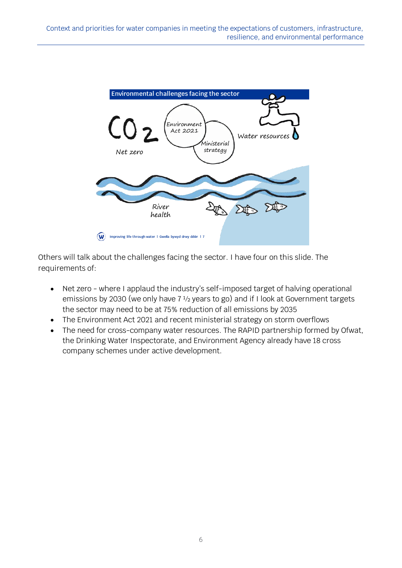

Others will talk about the challenges facing the sector. I have four on this slide. The requirements of:

- Net zero where I applaud the industry's self-imposed target of halving operational emissions by 2030 (we only have 7 ½ years to go) and if I look at Government targets the sector may need to be at 75% reduction of all emissions by 2035
- The Environment Act 2021 and recent ministerial strategy on storm overflows
- The need for cross-company water resources. The RAPID partnership formed by Ofwat, the Drinking Water Inspectorate, and Environment Agency already have 18 cross company schemes under active development.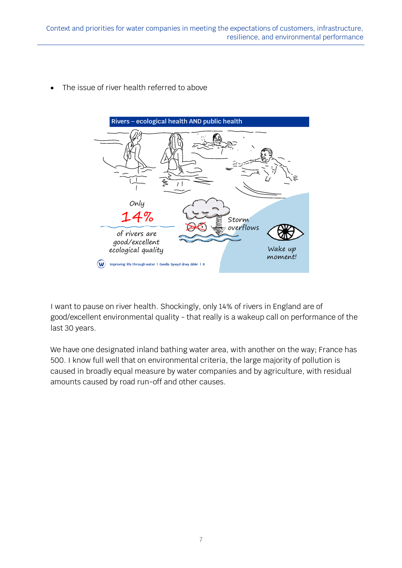• The issue of river health referred to above



I want to pause on river health. Shockingly, only 14% of rivers in England are of good/excellent environmental quality - that really is a wakeup call on performance of the last 30 years.

We have one designated inland bathing water area, with another on the way; France has 500. I know full well that on environmental criteria, the large majority of pollution is caused in broadly equal measure by water companies and by agriculture, with residual amounts caused by road run-off and other causes.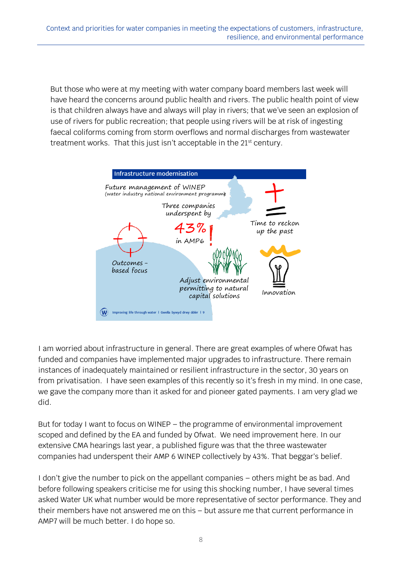But those who were at my meeting with water company board members last week will have heard the concerns around public health and rivers. The public health point of view is that children always have and always will play in rivers; that we've seen an explosion of use of rivers for public recreation; that people using rivers will be at risk of ingesting faecal coliforms coming from storm overflows and normal discharges from wastewater treatment works. That this just isn't acceptable in the 21<sup>st</sup> century.



I am worried about infrastructure in general. There are great examples of where Ofwat has funded and companies have implemented major upgrades to infrastructure. There remain instances of inadequately maintained or resilient infrastructure in the sector, 30 years on from privatisation. I have seen examples of this recently so it's fresh in my mind. In one case, we gave the company more than it asked for and pioneer gated payments. I am very glad we did.

But for today I want to focus on WINEP – the programme of environmental improvement scoped and defined by the EA and funded by Ofwat. We need improvement here. In our extensive CMA hearings last year, a published figure was that the three wastewater companies had underspent their AMP 6 WINEP collectively by 43%. That beggar's belief.

I don't give the number to pick on the appellant companies – others might be as bad. And before following speakers criticise me for using this shocking number, I have several times asked Water UK what number would be more representative of sector performance. They and their members have not answered me on this – but assure me that current performance in AMP7 will be much better. I do hope so.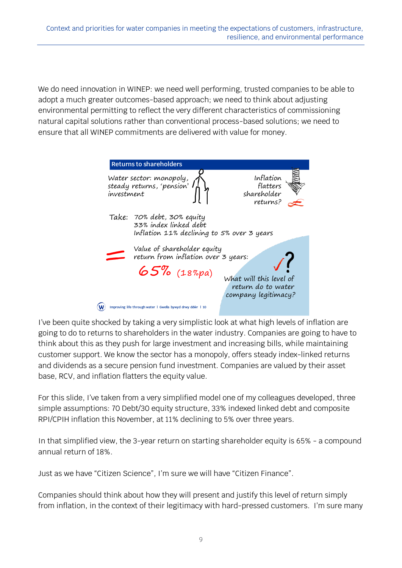We do need innovation in WINEP: we need well performing, trusted companies to be able to adopt a much greater outcomes-based approach; we need to think about adjusting environmental permitting to reflect the very different characteristics of commissioning natural capital solutions rather than conventional process-based solutions; we need to ensure that all WINEP commitments are delivered with value for money.



I've been quite shocked by taking a very simplistic look at what high levels of inflation are going to do to returns to shareholders in the water industry. Companies are going to have to think about this as they push for large investment and increasing bills, while maintaining customer support. We know the sector has a monopoly, offers steady index-linked returns and dividends as a secure pension fund investment. Companies are valued by their asset base, RCV, and inflation flatters the equity value.

For this slide, I've taken from a very simplified model one of my colleagues developed, three simple assumptions: 70 Debt/30 equity structure, 33% indexed linked debt and composite RPI/CPIH inflation this November, at 11% declining to 5% over three years.

In that simplified view, the 3-year return on starting shareholder equity is 65% - a compound annual return of 18%.

Just as we have "Citizen Science", I'm sure we will have "Citizen Finance".

Companies should think about how they will present and justify this level of return simply from inflation, in the context of their legitimacy with hard-pressed customers. I'm sure many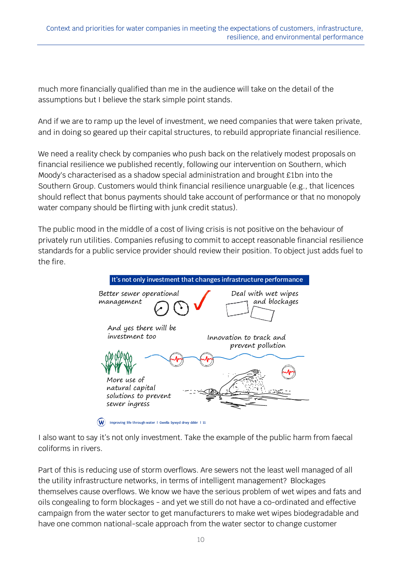much more financially qualified than me in the audience will take on the detail of the assumptions but I believe the stark simple point stands.

And if we are to ramp up the level of investment, we need companies that were taken private, and in doing so geared up their capital structures, to rebuild appropriate financial resilience.

We need a reality check by companies who push back on the relatively modest proposals on financial resilience we published recently, following our intervention on Southern, which Moody's characterised as a shadow special administration and brought £1bn into the Southern Group. Customers would think financial resilience unarguable (e.g., that licences should reflect that bonus payments should take account of performance or that no monopoly water company should be flirting with junk credit status).

The public mood in the middle of a cost of living crisis is not positive on the behaviour of privately run utilities. Companies refusing to commit to accept reasonable financial resilience standards for a public service provider should review their position. To object just adds fuel to the fire.



I also want to say it's not only investment. Take the example of the public harm from faecal coliforms in rivers.

Part of this is reducing use of storm overflows. Are sewers not the least well managed of all the utility infrastructure networks, in terms of intelligent management? Blockages themselves cause overflows. We know we have the serious problem of wet wipes and fats and oils congealing to form blockages - and yet we still do not have a co-ordinated and effective campaign from the water sector to get manufacturers to make wet wipes biodegradable and have one common national-scale approach from the water sector to change customer